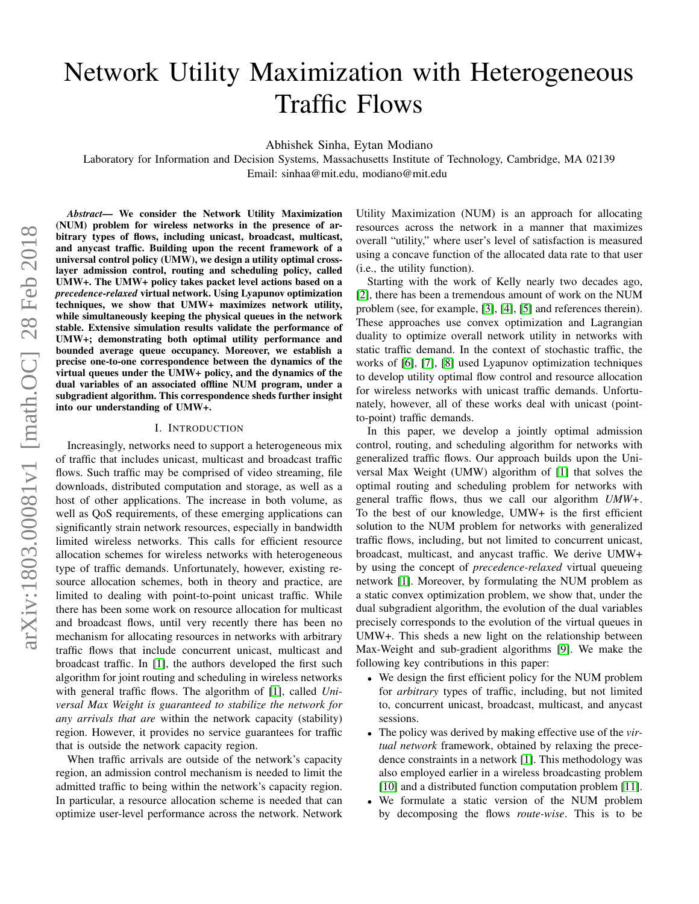# <span id="page-0-0"></span>Network Utility Maximization with Heterogeneous Traffic Flows

Abhishek Sinha, Eytan Modiano

Laboratory for Information and Decision Systems, Massachusetts Institute of Technology, Cambridge, MA 02139 Email: sinhaa@mit.edu, modiano@mit.edu

*Abstract*— We consider the Network Utility Maximization (NUM) problem for wireless networks in the presence of arbitrary types of flows, including unicast, broadcast, multicast, and anycast traffic. Building upon the recent framework of a universal control policy (UMW), we design a utility optimal crosslayer admission control, routing and scheduling policy, called UMW+. The UMW+ policy takes packet level actions based on a *precedence-relaxed* virtual network. Using Lyapunov optimization techniques, we show that UMW+ maximizes network utility, while simultaneously keeping the physical queues in the network stable. Extensive simulation results validate the performance of UMW+; demonstrating both optimal utility performance and bounded average queue occupancy. Moreover, we establish a precise one-to-one correspondence between the dynamics of the virtual queues under the UMW+ policy, and the dynamics of the dual variables of an associated offline NUM program, under a subgradient algorithm. This correspondence sheds further insight into our understanding of UMW+.

## I. INTRODUCTION

Increasingly, networks need to support a heterogeneous mix of traffic that includes unicast, multicast and broadcast traffic flows. Such traffic may be comprised of video streaming, file downloads, distributed computation and storage, as well as a host of other applications. The increase in both volume, as well as QoS requirements, of these emerging applications can significantly strain network resources, especially in bandwidth limited wireless networks. This calls for efficient resource allocation schemes for wireless networks with heterogeneous type of traffic demands. Unfortunately, however, existing resource allocation schemes, both in theory and practice, are limited to dealing with point-to-point unicast traffic. While there has been some work on resource allocation for multicast and broadcast flows, until very recently there has been no mechanism for allocating resources in networks with arbitrary traffic flows that include concurrent unicast, multicast and broadcast traffic. In [\[1\]](#page-7-0), the authors developed the first such algorithm for joint routing and scheduling in wireless networks with general traffic flows. The algorithm of [\[1\]](#page-7-0), called *Universal Max Weight is guaranteed to stabilize the network for any arrivals that are* within the network capacity (stability) region. However, it provides no service guarantees for traffic that is outside the network capacity region.

When traffic arrivals are outside of the network's capacity region, an admission control mechanism is needed to limit the admitted traffic to being within the network's capacity region. In particular, a resource allocation scheme is needed that can optimize user-level performance across the network. Network Utility Maximization (NUM) is an approach for allocating resources across the network in a manner that maximizes overall "utility," where user's level of satisfaction is measured using a concave function of the allocated data rate to that user (i.e., the utility function).

Starting with the work of Kelly nearly two decades ago, [\[2\]](#page-7-1), there has been a tremendous amount of work on the NUM problem (see, for example, [\[3\]](#page-7-2), [\[4\]](#page-7-3), [\[5\]](#page-7-4) and references therein). These approaches use convex optimization and Lagrangian duality to optimize overall network utility in networks with static traffic demand. In the context of stochastic traffic, the works of [\[6\]](#page-7-5), [\[7\]](#page-7-6), [\[8\]](#page-7-7) used Lyapunov optimization techniques to develop utility optimal flow control and resource allocation for wireless networks with unicast traffic demands. Unfortunately, however, all of these works deal with unicast (pointto-point) traffic demands.

In this paper, we develop a jointly optimal admission control, routing, and scheduling algorithm for networks with generalized traffic flows. Our approach builds upon the Universal Max Weight (UMW) algorithm of [\[1\]](#page-7-0) that solves the optimal routing and scheduling problem for networks with general traffic flows, thus we call our algorithm *UMW+*. To the best of our knowledge, UMW+ is the first efficient solution to the NUM problem for networks with generalized traffic flows, including, but not limited to concurrent unicast, broadcast, multicast, and anycast traffic. We derive UMW+ by using the concept of *precedence-relaxed* virtual queueing network [\[1\]](#page-7-0). Moreover, by formulating the NUM problem as a static convex optimization problem, we show that, under the dual subgradient algorithm, the evolution of the dual variables precisely corresponds to the evolution of the virtual queues in UMW+. This sheds a new light on the relationship between Max-Weight and sub-gradient algorithms [\[9\]](#page-7-8). We make the following key contributions in this paper:

- We design the first efficient policy for the NUM problem for *arbitrary* types of traffic, including, but not limited to, concurrent unicast, broadcast, multicast, and anycast sessions.
- The policy was derived by making effective use of the *virtual network* framework, obtained by relaxing the precedence constraints in a network [\[1\]](#page-7-0). This methodology was also employed earlier in a wireless broadcasting problem [\[10\]](#page-7-9) and a distributed function computation problem [\[11\]](#page-7-10).
- We formulate a static version of the NUM problem by decomposing the flows *route-wise*. This is to be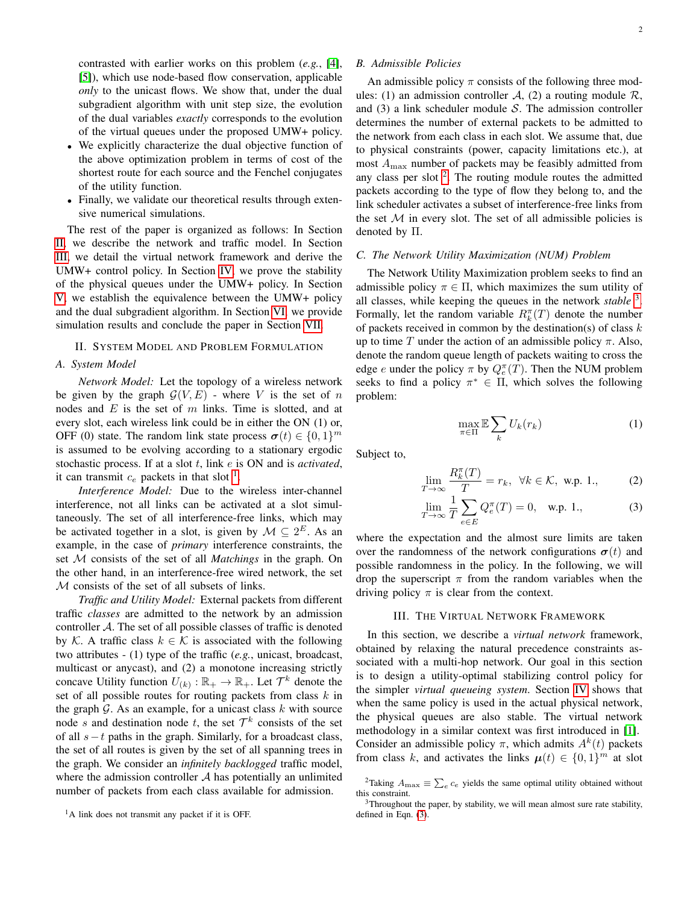contrasted with earlier works on this problem (*e.g.*, [\[4\]](#page-7-3), [\[5\]](#page-7-4)), which use node-based flow conservation, applicable *only* to the unicast flows. We show that, under the dual subgradient algorithm with unit step size, the evolution of the dual variables *exactly* corresponds to the evolution of the virtual queues under the proposed UMW+ policy.

- We explicitly characterize the dual objective function of the above optimization problem in terms of cost of the shortest route for each source and the Fenchel conjugates of the utility function.
- Finally, we validate our theoretical results through extensive numerical simulations.

The rest of the paper is organized as follows: In Section [II,](#page-1-0) we describe the network and traffic model. In Section [III,](#page-1-1) we detail the virtual network framework and derive the UMW+ control policy. In Section [IV,](#page-3-0) we prove the stability of the physical queues under the UMW+ policy. In Section [V,](#page-4-0) we establish the equivalence between the UMW+ policy and the dual subgradient algorithm. In Section [VI,](#page-6-0) we provide simulation results and conclude the paper in Section [VII.](#page-7-11)

## <span id="page-1-0"></span>II. SYSTEM MODEL AND PROBLEM FORMULATION

## *A. System Model*

*Network Model:* Let the topology of a wireless network be given by the graph  $G(V, E)$  - where V is the set of n nodes and  $E$  is the set of  $m$  links. Time is slotted, and at every slot, each wireless link could be in either the ON (1) or, OFF (0) state. The random link state process  $\boldsymbol{\sigma}(t) \in \{0, 1\}^m$ is assumed to be evolving according to a stationary ergodic stochastic process. If at a slot t, link e is ON and is *activated*, it can transmit  $c_e$  packets in that slot <sup>[1](#page-0-0)</sup>.

*Interference Model:* Due to the wireless inter-channel interference, not all links can be activated at a slot simultaneously. The set of all interference-free links, which may be activated together in a slot, is given by  $M \subseteq 2^E$ . As an example, in the case of *primary* interference constraints, the set M consists of the set of all *Matchings* in the graph. On the other hand, in an interference-free wired network, the set M consists of the set of all subsets of links.

*Traffic and Utility Model:* External packets from different traffic *classes* are admitted to the network by an admission controller A. The set of all possible classes of traffic is denoted by K. A traffic class  $k \in \mathcal{K}$  is associated with the following two attributes - (1) type of the traffic (*e.g.*, unicast, broadcast, multicast or anycast), and (2) a monotone increasing strictly concave Utility function  $U_{(k)} : \mathbb{R}_+ \to \mathbb{R}_+$ . Let  $\mathcal{T}^k$  denote the set of all possible routes for routing packets from class  $k$  in the graph  $G$ . As an example, for a unicast class  $k$  with source node s and destination node t, the set  $\mathcal{T}^k$  consists of the set of all  $s-t$  paths in the graph. Similarly, for a broadcast class, the set of all routes is given by the set of all spanning trees in the graph. We consider an *infinitely backlogged* traffic model, where the admission controller  $A$  has potentially an unlimited number of packets from each class available for admission.

<span id="page-1-3"></span>An admissible policy  $\pi$  consists of the following three modules: (1) an admission controller A, (2) a routing module  $\mathcal{R}$ , and  $(3)$  a link scheduler module S. The admission controller determines the number of external packets to be admitted to the network from each class in each slot. We assume that, due to physical constraints (power, capacity limitations etc.), at most  $A_{\text{max}}$  number of packets may be feasibly admitted from any class per slot  $2$ . The routing module routes the admitted packets according to the type of flow they belong to, and the link scheduler activates a subset of interference-free links from the set  $M$  in every slot. The set of all admissible policies is denoted by Π.

## *C. The Network Utility Maximization (NUM) Problem*

The Network Utility Maximization problem seeks to find an admissible policy  $\pi \in \Pi$ , which maximizes the sum utility of all classes, while keeping the queues in the network *stable* [3](#page-0-0) . Formally, let the random variable  $R_k^{\pi}(T)$  denote the number of packets received in common by the destination(s) of class  $k$ up to time T under the action of an admissible policy  $\pi$ . Also, denote the random queue length of packets waiting to cross the edge *e* under the policy  $\pi$  by  $Q_e^{\pi}(T)$ . Then the NUM problem seeks to find a policy  $\pi^* \in \Pi$ , which solves the following problem:

<span id="page-1-4"></span>
$$
\max_{\pi \in \Pi} \mathbb{E} \sum_{k} U_k(r_k) \tag{1}
$$

Subject to,

<span id="page-1-2"></span>
$$
\lim_{T \to \infty} \frac{R_k^{\pi}(T)}{T} = r_k, \ \forall k \in \mathcal{K}, \ \text{w.p. 1.,}
$$
 (2)

$$
\lim_{T \to \infty} \frac{1}{T} \sum_{e \in E} Q_e^{\pi}(T) = 0, \text{ w.p. 1.,}
$$
 (3)

where the expectation and the almost sure limits are taken over the randomness of the network configurations  $\sigma(t)$  and possible randomness in the policy. In the following, we will drop the superscript  $\pi$  from the random variables when the driving policy  $\pi$  is clear from the context.

## III. THE VIRTUAL NETWORK FRAMEWORK

<span id="page-1-1"></span>In this section, we describe a *virtual network* framework, obtained by relaxing the natural precedence constraints associated with a multi-hop network. Our goal in this section is to design a utility-optimal stabilizing control policy for the simpler *virtual queueing system*. Section [IV](#page-3-0) shows that when the same policy is used in the actual physical network, the physical queues are also stable. The virtual network methodology in a similar context was first introduced in [\[1\]](#page-7-0). Consider an admissible policy  $\pi$ , which admits  $A^{k}(t)$  packets from class k, and activates the links  $\mu(t) \in \{0,1\}^m$  at slot

<sup>&</sup>lt;sup>1</sup>A link does not transmit any packet if it is OFF.

<sup>&</sup>lt;sup>2</sup>Taking  $A_{\text{max}} \equiv \sum_{e} c_e$  yields the same optimal utility obtained without this constraint.

 $3$ Throughout the paper, by stability, we will mean almost sure rate stability, defined in Eqn. [\(3\)](#page-1-2).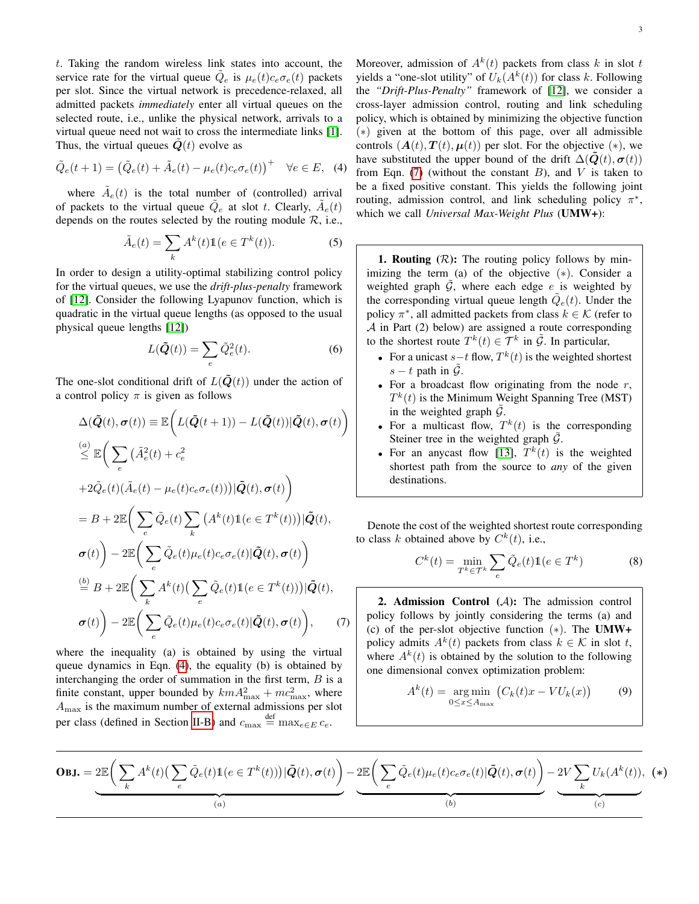t. Taking the random wireless link states into account, the service rate for the virtual queue  $\tilde{Q}_e$  is  $\mu_e(t)c_e\sigma_e(t)$  packets per slot. Since the virtual network is precedence-relaxed, all admitted packets *immediately* enter all virtual queues on the selected route, i.e., unlike the physical network, arrivals to a virtual queue need not wait to cross the intermediate links [\[1\]](#page-7-0). Thus, the virtual queues  $\dot{Q}(t)$  evolve as

<span id="page-2-0"></span>
$$
\tilde{Q}_e(t+1) = \left(\tilde{Q}_e(t) + \tilde{A}_e(t) - \mu_e(t)c_e\sigma_e(t)\right)^+ \quad \forall e \in E, \tag{4}
$$

where  $\tilde{A}_e(t)$  is the total number of (controlled) arrival of packets to the virtual queue  $\tilde{Q}_e$  at slot t. Clearly,  $\tilde{A}_e(t)$ depends on the routes selected by the routing module  $R$ , i.e.,

$$
\tilde{A}_e(t) = \sum_k A^k(t) \mathbb{1}(e \in T^k(t)).\tag{5}
$$

In order to design a utility-optimal stabilizing control policy for the virtual queues, we use the *drift-plus-penalty* framework of [\[12\]](#page-7-12). Consider the following Lyapunov function, which is quadratic in the virtual queue lengths (as opposed to the usual physical queue lengths [\[12\]](#page-7-12))

$$
L(\tilde{Q}(t)) = \sum_{e} \tilde{Q}_e^2(t).
$$
 (6)

The one-slot conditional drift of  $L(\tilde{Q}(t))$  under the action of a control policy  $\pi$  is given as follows

<span id="page-2-1"></span>
$$
\Delta(\tilde{\mathbf{Q}}(t), \sigma(t)) \equiv \mathbb{E}\bigg(L(\tilde{\mathbf{Q}}(t+1)) - L(\tilde{\mathbf{Q}}(t))|\tilde{\mathbf{Q}}(t), \sigma(t)\bigg)
$$
\n
$$
\stackrel{(a)}{\leq} \mathbb{E}\bigg(\sum_{e} \big(\tilde{A}_e^2(t) + c_e^2
$$
\n
$$
+2\tilde{Q}_e(t)(\tilde{A}_e(t) - \mu_e(t)c_e\sigma_e(t))\big)|\tilde{\mathbf{Q}}(t), \sigma(t)\bigg)
$$
\n
$$
= B + 2\mathbb{E}\bigg(\sum_{e} \tilde{Q}_e(t) \sum_{k} \big(A^k(t)\mathbb{1}(e \in T^k(t))\big)|\tilde{\mathbf{Q}}(t),
$$
\n
$$
\sigma(t)\bigg) - 2\mathbb{E}\bigg(\sum_{e} \tilde{Q}_e(t)\mu_e(t)c_e\sigma_e(t)|\tilde{\mathbf{Q}}(t), \sigma(t)\bigg)
$$
\n
$$
\stackrel{(b)}{=} B + 2\mathbb{E}\bigg(\sum_{k} A^k(t)\big(\sum_{e} \tilde{Q}_e(t)\mathbb{1}(e \in T^k(t))\big)|\tilde{\mathbf{Q}}(t),
$$
\n
$$
\sigma(t)\bigg) - 2\mathbb{E}\bigg(\sum_{e} \tilde{Q}_e(t)\mu_e(t)c_e\sigma_e(t)|\tilde{\mathbf{Q}}(t), \sigma(t)\bigg), \qquad (7)
$$

where the inequality (a) is obtained by using the virtual queue dynamics in Eqn. [\(4\)](#page-2-0), the equality (b) is obtained by interchanging the order of summation in the first term,  $B$  is a finite constant, upper bounded by  $kmA<sub>max</sub><sup>2</sup> + mc<sub>max</sub><sup>2</sup>$ , where  $A_{\text{max}}$  is the maximum number of external admissions per slot per class (defined in Section [II-B\)](#page-1-3) and  $c_{\text{max}} \stackrel{\text{def}}{=} \max_{e \in E} c_e$ .

Moreover, admission of  $A^k(t)$  packets from class k in slot t yields a "one-slot utility" of  $U_k(A^k(t))$  for class k. Following the *"Drift-Plus-Penalty"* framework of [\[12\]](#page-7-12), we consider a cross-layer admission control, routing and link scheduling policy, which is obtained by minimizing the objective function (∗) given at the bottom of this page, over all admissible controls  $(A(t), T(t), \mu(t))$  per slot. For the objective  $(*)$ , we have substituted the upper bound of the drift  $\Delta(\mathbf{Q}(t), \boldsymbol{\sigma}(t))$ from Eqn. [\(7\)](#page-2-1) (without the constant B), and V is taken to be a fixed positive constant. This yields the following joint routing, admission control, and link scheduling policy  $\pi^*$ , which we call *Universal Max-Weight Plus* (UMW+):

**1. Routing**  $(R)$ : The routing policy follows by minimizing the term (a) of the objective (∗). Consider a weighted graph  $\tilde{G}$ , where each edge e is weighted by the corresponding virtual queue length  $\tilde{Q}_e(t)$ . Under the policy  $\pi^*$ , all admitted packets from class  $k \in \mathcal{K}$  (refer to  $A$  in Part (2) below) are assigned a route corresponding to the shortest route  $T^k(t) \in \mathcal{T}^k$  in  $\tilde{\mathcal{G}}$ . In particular,

- For a unicast  $s-t$  flow,  $T^k(t)$  is the weighted shortest  $s - t$  path in  $\mathcal{G}$ .
- For a broadcast flow originating from the node  $r$ ,  $T<sup>k</sup>(t)$  is the Minimum Weight Spanning Tree (MST) in the weighted graph  $\mathcal{G}$ .
- For a multicast flow,  $T^k(t)$  is the corresponding Steiner tree in the weighted graph  $\tilde{G}$ .
- For an anycast flow [\[13\]](#page-7-13),  $T^k(t)$  is the weighted shortest path from the source to *any* of the given destinations.

Denote the cost of the weighted shortest route corresponding to class k obtained above by  $C^k(t)$ , i.e.,

<span id="page-2-2"></span>
$$
C^{k}(t) = \min_{T^{k} \in \mathcal{T}^{k}} \sum_{e} \tilde{Q}_{e}(t) \mathbb{1}(e \in T^{k})
$$
 (8)

2. Admission Control  $(A)$ : The admission control policy follows by jointly considering the terms (a) and (c) of the per-slot objective function (∗). The UMW+ policy admits  $A^k(t)$  packets from class  $k \in \mathcal{K}$  in slot t, where  $A^{k}(t)$  is obtained by the solution to the following one dimensional convex optimization problem:

$$
A^{k}(t) = \underset{0 \le x \le A_{\text{max}}}{\arg \min} (C_{k}(t)x - VU_{k}(x)) \tag{9}
$$

**OBJ.** = 
$$
2\mathbb{E}\left(\sum_{k} A^{k}(t)\left(\sum_{e} \tilde{Q}_{e}(t)\mathbb{1}(e \in T^{k}(t))\right)|\tilde{Q}(t), \sigma(t)\right) - 2\mathbb{E}\left(\sum_{e} \tilde{Q}_{e}(t)\mu_{e}(t)c_{e}\sigma_{e}(t)|\tilde{Q}(t), \sigma(t)\right) - 2V\sum_{k} U_{k}(A^{k}(t)), (*)
$$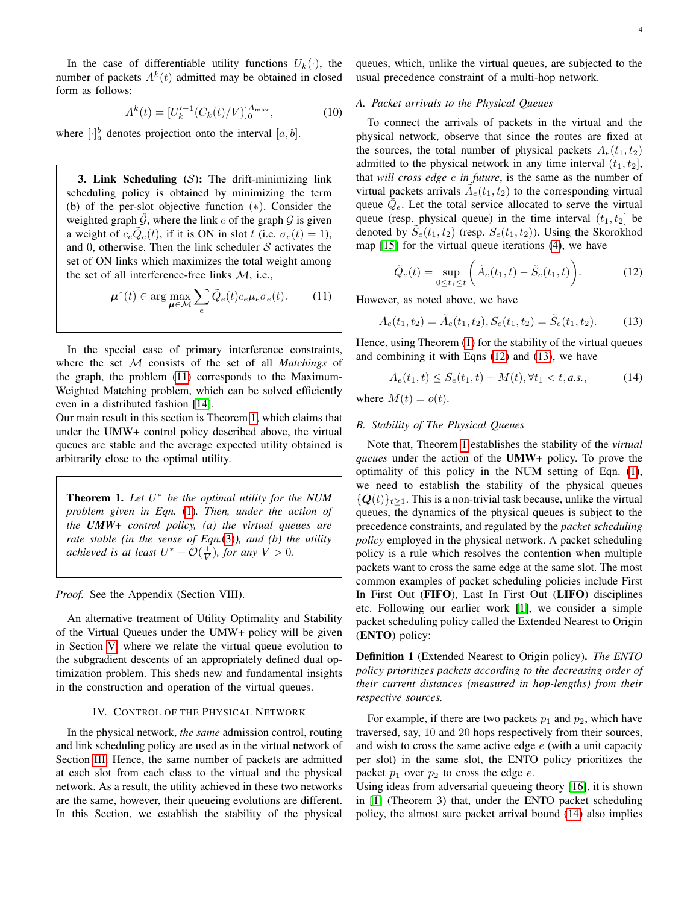In the case of differentiable utility functions  $U_k(\cdot)$ , the number of packets  $A^k(t)$  admitted may be obtained in closed form as follows:

<span id="page-3-6"></span>
$$
A^{k}(t) = [U_{k}^{\prime -1}(C_{k}(t)/V)]_{0}^{A_{\max}}, \qquad (10)
$$

where  $[\cdot]_a^b$  denotes projection onto the interval  $[a, b]$ .

3. Link Scheduling  $(S)$ : The drift-minimizing link scheduling policy is obtained by minimizing the term (b) of the per-slot objective function (∗). Consider the weighted graph  $G$ , where the link e of the graph  $G$  is given a weight of  $c_e\tilde{Q}_e(t)$ , if it is ON in slot t (i.e.  $\sigma_e(t) = 1$ ), and 0, otherwise. Then the link scheduler  $S$  activates the set of ON links which maximizes the total weight among the set of all interference-free links M, i.e.,

<span id="page-3-1"></span>
$$
\boldsymbol{\mu}^*(t) \in \arg\max_{\boldsymbol{\mu} \in \mathcal{M}} \sum_{e} \tilde{Q}_e(t) c_e \mu_e \sigma_e(t). \qquad (11)
$$

In the special case of primary interference constraints, where the set M consists of the set of all *Matchings* of the graph, the problem [\(11\)](#page-3-1) corresponds to the Maximum-Weighted Matching problem, which can be solved efficiently even in a distributed fashion [\[14\]](#page-7-14).

Our main result in this section is Theorem [1,](#page-3-2) which claims that under the UMW+ control policy described above, the virtual queues are stable and the average expected utility obtained is arbitrarily close to the optimal utility.

<span id="page-3-2"></span>Theorem 1. *Let* U <sup>∗</sup> *be the optimal utility for the NUM problem given in Eqn.* [\(1\)](#page-1-4)*. Then, under the action of the UMW+ control policy, (a) the virtual queues are rate stable (in the sense of Eqn.*[\(3\)](#page-1-2)*), and (b) the utility achieved is at least*  $U^* - \mathcal{O}(\frac{1}{V})$ *, for any*  $V > 0$ *.* 

*Proof.* See the Appendix (Section VIII).

An alternative treatment of Utility Optimality and Stability of the Virtual Queues under the UMW+ policy will be given in Section [V,](#page-4-0) where we relate the virtual queue evolution to the subgradient descents of an appropriately defined dual optimization problem. This sheds new and fundamental insights in the construction and operation of the virtual queues.

## IV. CONTROL OF THE PHYSICAL NETWORK

<span id="page-3-0"></span>In the physical network, *the same* admission control, routing and link scheduling policy are used as in the virtual network of Section [III.](#page-1-1) Hence, the same number of packets are admitted at each slot from each class to the virtual and the physical network. As a result, the utility achieved in these two networks are the same, however, their queueing evolutions are different. In this Section, we establish the stability of the physical

queues, which, unlike the virtual queues, are subjected to the usual precedence constraint of a multi-hop network.

## *A. Packet arrivals to the Physical Queues*

To connect the arrivals of packets in the virtual and the physical network, observe that since the routes are fixed at the sources, the total number of physical packets  $A_e(t_1, t_2)$ admitted to the physical network in any time interval  $(t_1, t_2]$ , that *will cross edge* e *in future*, is the same as the number of virtual packets arrivals  $\tilde{A}_e(t_1, t_2)$  to the corresponding virtual queue  $\tilde{Q}_e$ . Let the total service allocated to serve the virtual queue (resp. physical queue) in the time interval  $(t_1, t_2]$  be denoted by  $\tilde{S}_e(t_1, t_2)$  (resp.  $S_e(t_1, t_2)$ ). Using the Skorokhod map [\[15\]](#page-7-15) for the virtual queue iterations [\(4\)](#page-2-0), we have

<span id="page-3-3"></span>
$$
\tilde{Q}_e(t) = \sup_{0 \le t_1 \le t} \left( \tilde{A}_e(t_1, t) - \tilde{S}_e(t_1, t) \right). \tag{12}
$$

However, as noted above, we have

<span id="page-3-4"></span>
$$
A_e(t_1, t_2) = \tilde{A}_e(t_1, t_2), S_e(t_1, t_2) = \tilde{S}_e(t_1, t_2).
$$
 (13)

Hence, using Theorem [\(1\)](#page-3-2) for the stability of the virtual queues and combining it with Eqns [\(12\)](#page-3-3) and [\(13\)](#page-3-4), we have

<span id="page-3-5"></span>
$$
A_e(t_1, t) \le S_e(t_1, t) + M(t), \forall t_1 < t, a.s., \tag{14}
$$

where  $M(t) = o(t)$ .

 $\Box$ 

## *B. Stability of The Physical Queues*

Note that, Theorem [1](#page-3-2) establishes the stability of the *virtual queues* under the action of the UMW+ policy. To prove the optimality of this policy in the NUM setting of Eqn. [\(1\)](#page-1-4), we need to establish the stability of the physical queues  ${Q(t)}_{t>1}$ . This is a non-trivial task because, unlike the virtual queues, the dynamics of the physical queues is subject to the precedence constraints, and regulated by the *packet scheduling policy* employed in the physical network. A packet scheduling policy is a rule which resolves the contention when multiple packets want to cross the same edge at the same slot. The most common examples of packet scheduling policies include First In First Out (FIFO), Last In First Out (LIFO) disciplines etc. Following our earlier work [\[1\]](#page-7-0), we consider a simple packet scheduling policy called the Extended Nearest to Origin (ENTO) policy:

Definition 1 (Extended Nearest to Origin policy). *The ENTO policy prioritizes packets according to the decreasing order of their current distances (measured in hop-lengths) from their respective sources.*

For example, if there are two packets  $p_1$  and  $p_2$ , which have traversed, say, 10 and 20 hops respectively from their sources, and wish to cross the same active edge  $e$  (with a unit capacity per slot) in the same slot, the ENTO policy prioritizes the packet  $p_1$  over  $p_2$  to cross the edge e.

Using ideas from adversarial queueing theory [\[16\]](#page-7-16), it is shown in [\[1\]](#page-7-0) (Theorem 3) that, under the ENTO packet scheduling policy, the almost sure packet arrival bound [\(14\)](#page-3-5) also implies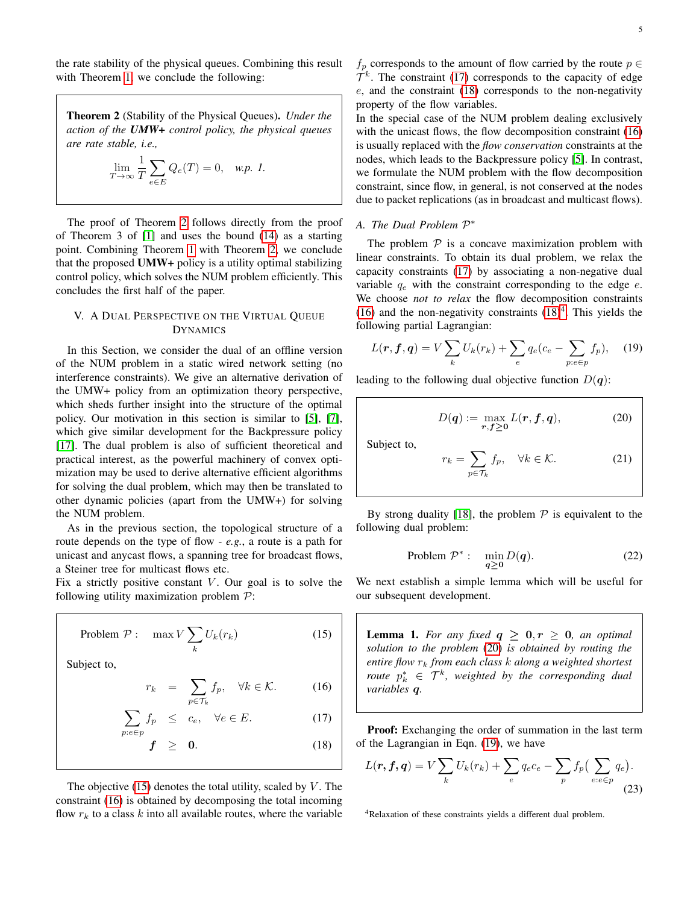the rate stability of the physical queues. Combining this result with Theorem [1,](#page-3-2) we conclude the following:

<span id="page-4-1"></span>Theorem 2 (Stability of the Physical Queues). *Under the action of the UMW+ control policy, the physical queues are rate stable, i.e.,*

$$
\lim_{T \to \infty} \frac{1}{T} \sum_{e \in E} Q_e(T) = 0, \quad \text{w.p. 1.}
$$

The proof of Theorem [2](#page-4-1) follows directly from the proof of Theorem 3 of [\[1\]](#page-7-0) and uses the bound [\(14\)](#page-3-5) as a starting point. Combining Theorem [1](#page-3-2) with Theorem [2,](#page-4-1) we conclude that the proposed UMW+ policy is a utility optimal stabilizing control policy, which solves the NUM problem efficiently. This concludes the first half of the paper.

## <span id="page-4-0"></span>V. A DUAL PERSPECTIVE ON THE VIRTUAL QUEUE DYNAMICS

In this Section, we consider the dual of an offline version of the NUM problem in a static wired network setting (no interference constraints). We give an alternative derivation of the UMW+ policy from an optimization theory perspective, which sheds further insight into the structure of the optimal policy. Our motivation in this section is similar to [\[5\]](#page-7-4), [\[7\]](#page-7-6), which give similar development for the Backpressure policy [\[17\]](#page-7-17). The dual problem is also of sufficient theoretical and practical interest, as the powerful machinery of convex optimization may be used to derive alternative efficient algorithms for solving the dual problem, which may then be translated to other dynamic policies (apart from the UMW+) for solving the NUM problem.

As in the previous section, the topological structure of a route depends on the type of flow - *e.g.*, a route is a path for unicast and anycast flows, a spanning tree for broadcast flows, a Steiner tree for multicast flows etc.

Fix a strictly positive constant  $V$ . Our goal is to solve the following utility maximization problem  $P$ :

Problem 
$$
\mathcal{P}
$$
: max  $V \sum_{k} U_{k}(r_{k})$  (15)

Subject to,

<span id="page-4-3"></span><span id="page-4-2"></span>
$$
r_k = \sum_{p \in \mathcal{T}_k} f_p, \quad \forall k \in \mathcal{K}.
$$
 (16)

$$
\sum_{p:e \in p} f_p \le c_e, \quad \forall e \in E. \tag{17}
$$

$$
f \geq 0. \tag{18}
$$

The objective  $(15)$  denotes the total utility, scaled by V. The constraint [\(16\)](#page-4-3) is obtained by decomposing the total incoming flow  $r_k$  to a class k into all available routes, where the variable

 $f_p$  corresponds to the amount of flow carried by the route  $p \in$  $\mathcal{T}^k$ . The constraint [\(17\)](#page-4-3) corresponds to the capacity of edge  $e$ , and the constraint [\(18\)](#page-4-3) corresponds to the non-negativity property of the flow variables.

In the special case of the NUM problem dealing exclusively with the unicast flows, the flow decomposition constraint [\(16\)](#page-4-3) is usually replaced with the *flow conservation* constraints at the nodes, which leads to the Backpressure policy [\[5\]](#page-7-4). In contrast, we formulate the NUM problem with the flow decomposition constraint, since flow, in general, is not conserved at the nodes due to packet replications (as in broadcast and multicast flows).

## *A. The Dual Problem* P ∗

The problem  $P$  is a concave maximization problem with linear constraints. To obtain its dual problem, we relax the capacity constraints [\(17\)](#page-4-3) by associating a non-negative dual variable  $q_e$  with the constraint corresponding to the edge  $e$ . We choose *not to relax* the flow decomposition constraints [\(16\)](#page-4-3) and the non-negativity constraints  $(18)^4$  $(18)^4$  $(18)^4$ . This yields the following partial Lagrangian:

<span id="page-4-5"></span>
$$
L(\mathbf{r}, \mathbf{f}, \mathbf{q}) = V \sum_{k} U_k(r_k) + \sum_{e} q_e (c_e - \sum_{p: e \in p} f_p), \quad (19)
$$

leading to the following dual objective function  $D(q)$ :

<span id="page-4-4"></span>
$$
D(q) := \max_{\boldsymbol{r}, \boldsymbol{f} \ge 0} L(\boldsymbol{r}, \boldsymbol{f}, \boldsymbol{q}), \tag{20}
$$

Subject to,

<span id="page-4-7"></span>
$$
r_k = \sum_{p \in \mathcal{T}_k} f_p, \quad \forall k \in \mathcal{K}.
$$
 (21)

By strong duality [\[18\]](#page-7-18), the problem  $P$  is equivalent to the following dual problem:

<span id="page-4-9"></span>Problem 
$$
\mathcal{P}^*
$$
:  $\min_{\mathbf{q} \ge \mathbf{0}} D(\mathbf{q}).$  (22)

We next establish a simple lemma which will be useful for our subsequent development.

<span id="page-4-8"></span>**Lemma 1.** For any fixed  $q \geq 0, r \geq 0$ , an optimal *solution to the problem* [\(20\)](#page-4-4) *is obtained by routing the entire flow* r<sup>k</sup> *from each class* k *along a weighted shortest route*  $p_k^* \in \mathcal{T}^k$ , weighted by the corresponding dual *variables* q*.*

Proof: Exchanging the order of summation in the last term of the Lagrangian in Eqn. [\(19\)](#page-4-5), we have

<span id="page-4-6"></span>
$$
L(\mathbf{r}, \mathbf{f}, \mathbf{q}) = V \sum_{k} U_k(r_k) + \sum_{e} q_e c_e - \sum_{p} f_p \left( \sum_{e: e \in p} q_e \right).
$$
\n(23)

<sup>4</sup>Relaxation of these constraints yields a different dual problem.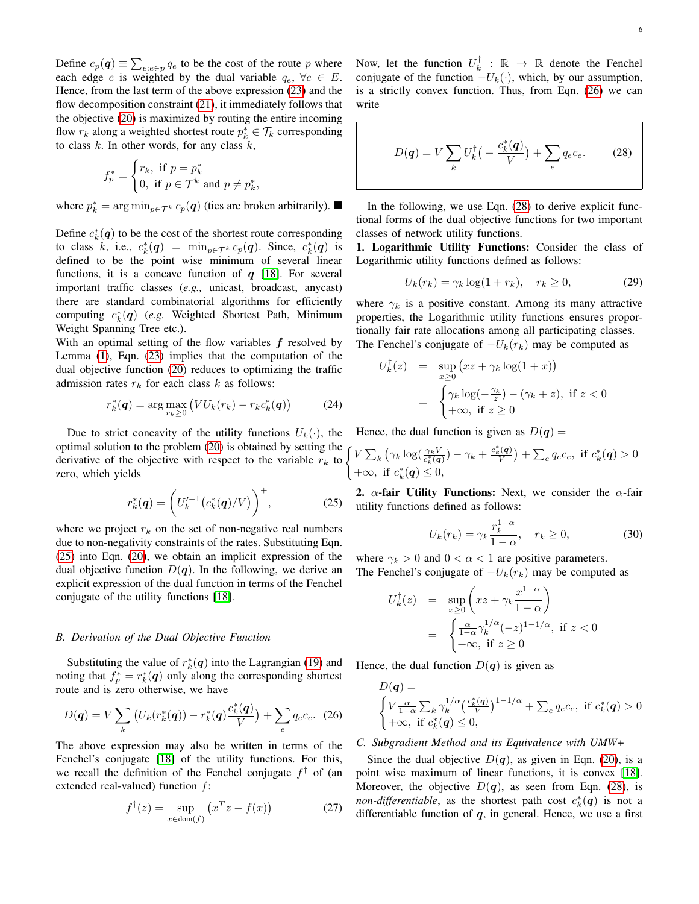Define  $c_p(\boldsymbol{q}) \equiv \sum_{e: e \in p} q_e$  to be the cost of the route p where each edge e is weighted by the dual variable  $q_e$ ,  $\forall e \in E$ . Hence, from the last term of the above expression [\(23\)](#page-4-6) and the flow decomposition constraint [\(21\)](#page-4-7), it immediately follows that the objective [\(20\)](#page-4-4) is maximized by routing the entire incoming flow  $r_k$  along a weighted shortest route  $p_k^* \in \mathcal{T}_k$  corresponding to class  $k$ . In other words, for any class  $k$ ,

$$
f_p^* = \begin{cases} r_k, & \text{if } p = p_k^* \\ 0, & \text{if } p \in \mathcal{T}^k \text{ and } p \neq p_k^*, \end{cases}
$$

where  $p_k^* = \arg \min_{p \in \mathcal{T}^k} c_p(q)$  (ties are broken arbitrarily).

Define  $c_k^*(q)$  to be the cost of the shortest route corresponding to class k, i.e.,  $c_k^*(q) = \min_{p \in \mathcal{T}^k} c_p(q)$ . Since,  $c_k^*(q)$  is defined to be the point wise minimum of several linear functions, it is a concave function of  $q$  [\[18\]](#page-7-18). For several important traffic classes (*e.g.,* unicast, broadcast, anycast) there are standard combinatorial algorithms for efficiently computing  $c_k^*(q)$  (*e.g.* Weighted Shortest Path, Minimum Weight Spanning Tree etc.).

With an optimal setting of the flow variables  $f$  resolved by Lemma [\(1\)](#page-4-8), Eqn. [\(23\)](#page-4-6) implies that the computation of the dual objective function [\(20\)](#page-4-4) reduces to optimizing the traffic admission rates  $r_k$  for each class k as follows:

<span id="page-5-3"></span>
$$
r_k^*(\mathbf{q}) = \arg\max_{r_k \ge 0} \left( V U_k(r_k) - r_k c_k^*(\mathbf{q}) \right) \tag{24}
$$

Due to strict concavity of the utility functions  $U_k(\cdot)$ , the optimal solution to the problem [\(20\)](#page-4-4) is obtained by setting the opulhal solution to the problem (20) is obtained by setting the  $\left\{$  derivative of the objective with respect to the variable  $r_k$  to  $\left\{$ zero, which yields

<span id="page-5-0"></span>
$$
r_k^*(q) = \left( U_k'^{-1} (c_k^*(q)/V) \right)^+, \tag{25}
$$

where we project  $r_k$  on the set of non-negative real numbers due to non-negativity constraints of the rates. Substituting Eqn. [\(25\)](#page-5-0) into Eqn. [\(20\)](#page-4-4), we obtain an implicit expression of the dual objective function  $D(q)$ . In the following, we derive an explicit expression of the dual function in terms of the Fenchel conjugate of the utility functions [\[18\]](#page-7-18).

#### *B. Derivation of the Dual Objective Function*

Substituting the value of  $r_k^*(q)$  into the Lagrangian [\(19\)](#page-4-5) and noting that  $f_p^* = r_k^*(q)$  only along the corresponding shortest route and is zero otherwise, we have

<span id="page-5-1"></span>
$$
D(q) = V \sum_{k} \left( U_{k}(r_{k}^{*}(q)) - r_{k}^{*}(q) \frac{c_{k}^{*}(q)}{V} \right) + \sum_{e} q_{e} c_{e}. \tag{26}
$$

The above expression may also be written in terms of the Fenchel's conjugate [\[18\]](#page-7-18) of the utility functions. For this, we recall the definition of the Fenchel conjugate  $f^{\dagger}$  of (an extended real-valued) function  $f$ :

$$
f^{\dagger}(z) = \sup_{x \in \text{dom}(f)} \left( x^T z - f(x) \right) \tag{27}
$$

Now, let the function  $U_k^{\dagger}$  :  $\mathbb{R} \to \mathbb{R}$  denote the Fenchel conjugate of the function  $-U_k(\cdot)$ , which, by our assumption, is a strictly convex function. Thus, from Eqn. [\(26\)](#page-5-1) we can write

<span id="page-5-2"></span>
$$
D(\boldsymbol{q}) = V \sum_{k} U_{k}^{\dagger} \left( -\frac{c_{k}^{*}(\boldsymbol{q})}{V} \right) + \sum_{e} q_{e} c_{e}. \qquad (28)
$$

In the following, we use Eqn. [\(28\)](#page-5-2) to derive explicit functional forms of the dual objective functions for two important classes of network utility functions.

1. Logarithmic Utility Functions: Consider the class of Logarithmic utility functions defined as follows:

$$
U_k(r_k) = \gamma_k \log(1 + r_k), \quad r_k \ge 0,
$$
\n<sup>(29)</sup>

where  $\gamma_k$  is a positive constant. Among its many attractive properties, the Logarithmic utility functions ensures proportionally fair rate allocations among all participating classes. The Fenchel's conjugate of  $-U_k(r_k)$  may be computed as

$$
U_k^{\dagger}(z) = \sup_{x \ge 0} (xz + \gamma_k \log(1 + x))
$$
  
= 
$$
\begin{cases} \gamma_k \log(-\frac{\gamma_k}{z}) - (\gamma_k + z), & \text{if } z < 0 \\ +\infty, & \text{if } z \ge 0 \end{cases}
$$

Hence, the dual function is given as  $D(q)$  =

$$
V\sum_{k} \left(\gamma_{k} \log \left(\frac{\gamma_{k} V}{c_{k}^{*}(\mathbf{q})}\right) - \gamma_{k} + \frac{c_{k}^{*}(\mathbf{q})}{V}\right) + \sum_{e} q_{e} c_{e}, \text{ if } c_{k}^{*}(\mathbf{q}) > 0
$$
  
+ $\infty, \text{ if } c_{k}^{*}(\mathbf{q}) \leq 0,$ 

2.  $\alpha$ -fair Utility Functions: Next, we consider the  $\alpha$ -fair utility functions defined as follows:

$$
U_k(r_k) = \gamma_k \frac{r_k^{1-\alpha}}{1-\alpha}, \quad r_k \ge 0,
$$
 (30)

where  $\gamma_k > 0$  and  $0 < \alpha < 1$  are positive parameters. The Fenchel's conjugate of  $-U_k(r_k)$  may be computed as

$$
U_k^{\dagger}(z) = \sup_{x \ge 0} \left( xz + \gamma_k \frac{x^{1-\alpha}}{1-\alpha} \right)
$$
  
= 
$$
\begin{cases} \frac{\alpha}{1-\alpha} \gamma_k^{1/\alpha} (-z)^{1-1/\alpha}, & \text{if } z < 0 \\ +\infty, & \text{if } z \ge 0 \end{cases}
$$

Hence, the dual function  $D(q)$  is given as

$$
D(\mathbf{q}) = \begin{cases} V \frac{\alpha}{1-\alpha} \sum_k \gamma_k^{1/\alpha} \left(\frac{c_k^*(\mathbf{q})}{V}\right)^{1-1/\alpha} + \sum_e q_e c_e, & \text{if } c_k^*(\mathbf{q}) > 0\\ +\infty, & \text{if } c_k^*(\mathbf{q}) \le 0, \end{cases}
$$

## *C. Subgradient Method and its Equivalence with UMW+*

Since the dual objective  $D(q)$ , as given in Eqn. [\(20\)](#page-4-4), is a point wise maximum of linear functions, it is convex [\[18\]](#page-7-18). Moreover, the objective  $D(q)$ , as seen from Eqn. [\(28\)](#page-5-2), is *non-differentiable*, as the shortest path cost  $c_k^*(q)$  is not a differentiable function of  $q$ , in general. Hence, we use a first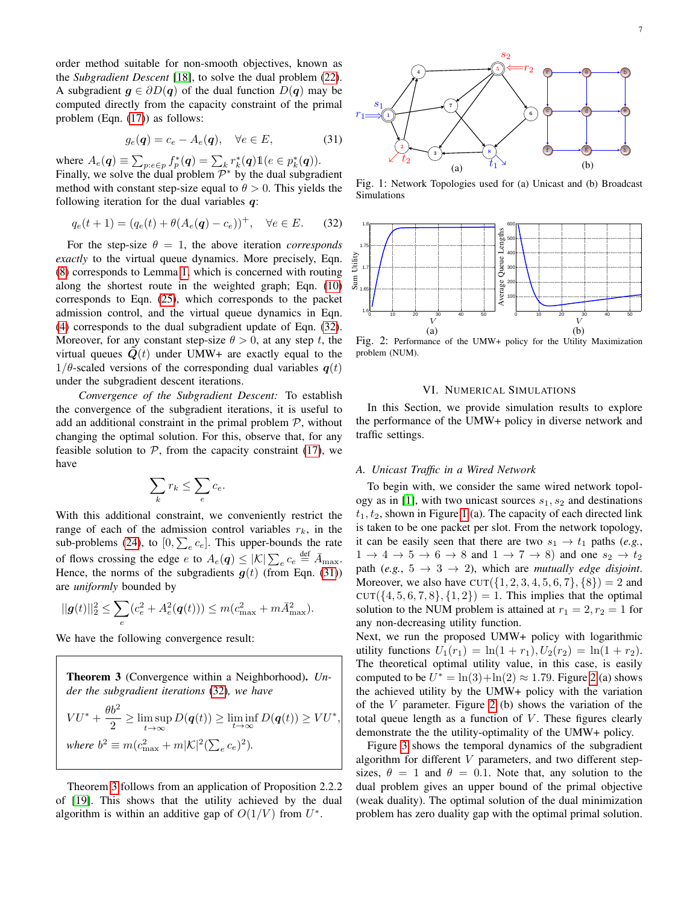order method suitable for non-smooth objectives, known as the *Subgradient Descent* [\[18\]](#page-7-18), to solve the dual problem [\(22\)](#page-4-9). A subgradient  $q \in \partial D(q)$  of the dual function  $D(q)$  may be computed directly from the capacity constraint of the primal problem (Eqn. [\(17\)](#page-4-3)) as follows:

<span id="page-6-2"></span>
$$
g_e(\mathbf{q}) = c_e - A_e(\mathbf{q}), \quad \forall e \in E,\tag{31}
$$

where  $A_e(\mathbf{q}) \equiv \sum_{p: e \in p} f_p^*(\mathbf{q}) = \sum_k r_k^*(\mathbf{q}) \mathbb{1}(e \in p_k^*(\mathbf{q})).$ Finally, we solve the dual problem  $\mathcal{P}^*$  by the dual subgradient method with constant step-size equal to  $\theta > 0$ . This yields the following iteration for the dual variables  $q$ :

<span id="page-6-1"></span>
$$
q_e(t+1) = (q_e(t) + \theta(A_e(\mathbf{q}) - c_e))^+, \quad \forall e \in E. \tag{32}
$$

For the step-size  $\theta = 1$ , the above iteration *corresponds exactly* to the virtual queue dynamics. More precisely, Eqn. [\(8\)](#page-2-2) corresponds to Lemma [1,](#page-4-8) which is concerned with routing along the shortest route in the weighted graph; Eqn. [\(10\)](#page-3-6) corresponds to Eqn. [\(25\)](#page-5-0), which corresponds to the packet admission control, and the virtual queue dynamics in Eqn. [\(4\)](#page-2-0) corresponds to the dual subgradient update of Eqn. [\(32\)](#page-6-1). Moreover, for any constant step-size  $\theta > 0$ , at any step t, the virtual queues  $Q(t)$  under UMW+ are exactly equal to the  $1/\theta$ -scaled versions of the corresponding dual variables  $q(t)$ under the subgradient descent iterations.

*Convergence of the Subgradient Descent:* To establish the convergence of the subgradient iterations, it is useful to add an additional constraint in the primal problem  $P$ , without changing the optimal solution. For this, observe that, for any feasible solution to  $P$ , from the capacity constraint [\(17\)](#page-4-3), we have

$$
\sum_{k} r_k \le \sum_{e} c_e.
$$

With this additional constraint, we conveniently restrict the range of each of the admission control variables  $r_k$ , in the sub-problems [\(24\)](#page-5-3), to  $[0, \sum_{e} c_e]$ . This upper-bounds the rate of flows crossing the edge e to  $A_e(\boldsymbol{q}) \leq |\mathcal{K}| \sum_e c_e \stackrel{\text{def}}{=} \bar{A}_{\text{max}}$ . Hence, the norms of the subgradients  $q(t)$  (from Eqn. [\(31\)](#page-6-2)) are *uniformly* bounded by

$$
||\pmb g(t)||_2^2 \leq \sum_e (c_e^2 + A_e^2(\pmb q(t))) \leq m (c_{\max}^2 + m \bar A_{\max}^2).
$$

We have the following convergence result:

<span id="page-6-3"></span>

Theorem [3](#page-6-3) follows from an application of Proposition 2.2.2 of [\[19\]](#page-7-19). This shows that the utility achieved by the dual algorithm is within an additive gap of  $O(1/V)$  from  $U^*$ .

<span id="page-6-4"></span>

Fig. 1: Network Topologies used for (a) Unicast and (b) Broadcast Simulations

<span id="page-6-5"></span>

Fig. 2: Performance of the UMW+ policy for the Utility Maximization problem (NUM).

## VI. NUMERICAL SIMULATIONS

<span id="page-6-0"></span>In this Section, we provide simulation results to explore the performance of the UMW+ policy in diverse network and traffic settings.

## *A. Unicast Traffic in a Wired Network*

To begin with, we consider the same wired network topol-ogy as in [\[1\]](#page-7-0), with two unicast sources  $s_1, s_2$  and destinations  $t_1, t_2$ , shown in Figure [1](#page-6-4) (a). The capacity of each directed link is taken to be one packet per slot. From the network topology, it can be easily seen that there are two  $s_1 \rightarrow t_1$  paths (*e.g.*,  $1 \rightarrow 4 \rightarrow 5 \rightarrow 6 \rightarrow 8$  and  $1 \rightarrow 7 \rightarrow 8$ ) and one  $s_2 \rightarrow t_2$ path (*e.g.*,  $5 \rightarrow 3 \rightarrow 2$ ), which are *mutually edge disjoint*. Moreover, we also have  $\text{CUT}(\{1, 2, 3, 4, 5, 6, 7\}, \{8\}) = 2$  and  $CUT({ 4, 5, 6, 7, 8}, {1, 2}) = 1$ . This implies that the optimal solution to the NUM problem is attained at  $r_1 = 2, r_2 = 1$  for any non-decreasing utility function.

Next, we run the proposed UMW+ policy with logarithmic utility functions  $U_1(r_1) = \ln(1 + r_1), U_2(r_2) = \ln(1 + r_2)$ . The theoretical optimal utility value, in this case, is easily computed to be  $U^* = \ln(3) + \ln(2) \approx 1.79$ . Figure [2](#page-6-5) (a) shows the achieved utility by the UMW+ policy with the variation of the  $V$  parameter. Figure [2](#page-6-5) (b) shows the variation of the total queue length as a function of  $V$ . These figures clearly demonstrate the the utility-optimality of the UMW+ policy.

Figure [3](#page-7-20) shows the temporal dynamics of the subgradient algorithm for different  $V$  parameters, and two different stepsizes,  $\theta = 1$  and  $\theta = 0.1$ . Note that, any solution to the dual problem gives an upper bound of the primal objective (weak duality). The optimal solution of the dual minimization problem has zero duality gap with the optimal primal solution.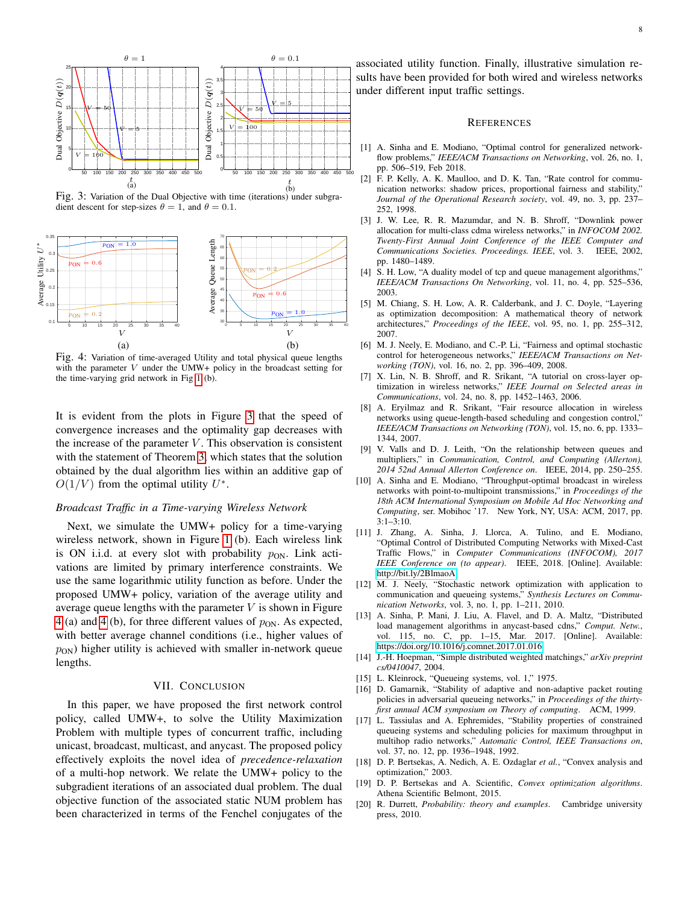<span id="page-7-20"></span>

Fig. 3: Variation of the Dual Objective with time (iterations) under subgradient descent for step-sizes  $\theta = 1$ , and  $\theta = 0.1$ .

<span id="page-7-21"></span>

Fig. 4: Variation of time-averaged Utility and total physical queue lengths with the parameter  $V$  under the UMW+ policy in the broadcast setting for the time-varying grid network in Fig [1](#page-6-4) (b).

It is evident from the plots in Figure [3](#page-7-20) that the speed of convergence increases and the optimality gap decreases with the increase of the parameter  $V$ . This observation is consistent with the statement of Theorem [3,](#page-6-3) which states that the solution obtained by the dual algorithm lies within an additive gap of  $O(1/V)$  from the optimal utility  $U^*$ .

#### *Broadcast Traffic in a Time-varying Wireless Network*

Next, we simulate the UMW+ policy for a time-varying wireless network, shown in Figure [1](#page-6-4) (b). Each wireless link is ON i.i.d. at every slot with probability  $p_{ON}$ . Link activations are limited by primary interference constraints. We use the same logarithmic utility function as before. Under the proposed UMW+ policy, variation of the average utility and average queue lengths with the parameter  $V$  is shown in Figure [4](#page-7-21) (a) and [4](#page-7-21) (b), for three different values of  $p_{ON}$ . As expected, with better average channel conditions (i.e., higher values of  $p_{ON}$ ) higher utility is achieved with smaller in-network queue lengths.

## VII. CONCLUSION

<span id="page-7-11"></span>In this paper, we have proposed the first network control policy, called UMW+, to solve the Utility Maximization Problem with multiple types of concurrent traffic, including unicast, broadcast, multicast, and anycast. The proposed policy effectively exploits the novel idea of *precedence-relaxation* of a multi-hop network. We relate the UMW+ policy to the subgradient iterations of an associated dual problem. The dual objective function of the associated static NUM problem has been characterized in terms of the Fenchel conjugates of the

associated utility function. Finally, illustrative simulation results have been provided for both wired and wireless networks under different input traffic settings.

#### **REFERENCES**

- <span id="page-7-0"></span>[1] A. Sinha and E. Modiano, "Optimal control for generalized networkflow problems," *IEEE/ACM Transactions on Networking*, vol. 26, no. 1, pp. 506–519, Feb 2018.
- <span id="page-7-1"></span>[2] F. P. Kelly, A. K. Maulloo, and D. K. Tan, "Rate control for communication networks: shadow prices, proportional fairness and stability," *Journal of the Operational Research society*, vol. 49, no. 3, pp. 237– 252, 1998.
- <span id="page-7-2"></span>[3] J. W. Lee, R. R. Mazumdar, and N. B. Shroff, "Downlink power allocation for multi-class cdma wireless networks," in *INFOCOM 2002. Twenty-First Annual Joint Conference of the IEEE Computer and Communications Societies. Proceedings. IEEE*, vol. 3. IEEE, 2002, pp. 1480–1489.
- <span id="page-7-3"></span>[4] S. H. Low, "A duality model of tcp and queue management algorithms," *IEEE/ACM Transactions On Networking*, vol. 11, no. 4, pp. 525–536, 2003.
- <span id="page-7-4"></span>[5] M. Chiang, S. H. Low, A. R. Calderbank, and J. C. Doyle, "Layering as optimization decomposition: A mathematical theory of network architectures," *Proceedings of the IEEE*, vol. 95, no. 1, pp. 255–312, 2007.
- <span id="page-7-5"></span>[6] M. J. Neely, E. Modiano, and C.-P. Li, "Fairness and optimal stochastic control for heterogeneous networks," *IEEE/ACM Transactions on Networking (TON)*, vol. 16, no. 2, pp. 396–409, 2008.
- <span id="page-7-6"></span>[7] X. Lin, N. B. Shroff, and R. Srikant, "A tutorial on cross-layer optimization in wireless networks," *IEEE Journal on Selected areas in Communications*, vol. 24, no. 8, pp. 1452–1463, 2006.
- <span id="page-7-7"></span>[8] A. Eryilmaz and R. Srikant, "Fair resource allocation in wireless networks using queue-length-based scheduling and congestion control," *IEEE/ACM Transactions on Networking (TON)*, vol. 15, no. 6, pp. 1333– 1344, 2007.
- <span id="page-7-8"></span>[9] V. Valls and D. J. Leith, "On the relationship between queues and multipliers," in *Communication, Control, and Computing (Allerton), 2014 52nd Annual Allerton Conference on*. IEEE, 2014, pp. 250–255.
- <span id="page-7-9"></span>[10] A. Sinha and E. Modiano, "Throughput-optimal broadcast in wireless networks with point-to-multipoint transmissions," in *Proceedings of the 18th ACM International Symposium on Mobile Ad Hoc Networking and Computing*, ser. Mobihoc '17. New York, NY, USA: ACM, 2017, pp. 3:1–3:10.
- <span id="page-7-10"></span>[11] J. Zhang, A. Sinha, J. Llorca, A. Tulino, and E. Modiano, "Optimal Control of Distributed Computing Networks with Mixed-Cast Traffic Flows," in *Computer Communications (INFOCOM), 2017 IEEE Conference on (to appear)*. IEEE, 2018. [Online]. Available: <http://bit.ly/2BlmaoA>
- <span id="page-7-12"></span>[12] M. J. Neely, "Stochastic network optimization with application to communication and queueing systems," *Synthesis Lectures on Communication Networks*, vol. 3, no. 1, pp. 1–211, 2010.
- <span id="page-7-13"></span>[13] A. Sinha, P. Mani, J. Liu, A. Flavel, and D. A. Maltz, "Distributed load management algorithms in anycast-based cdns," *Comput. Netw.*, vol. 115, no. C, pp. 1–15, Mar. 2017. [Online]. Available: <https://doi.org/10.1016/j.comnet.2017.01.016>
- <span id="page-7-14"></span>[14] J.-H. Hoepman, "Simple distributed weighted matchings," *arXiv preprint cs/0410047*, 2004.
- <span id="page-7-15"></span>[15] L. Kleinrock, "Queueing systems, vol. 1," 1975.
- <span id="page-7-16"></span>[16] D. Gamarnik, "Stability of adaptive and non-adaptive packet routing policies in adversarial queueing networks," in *Proceedings of the thirtyfirst annual ACM symposium on Theory of computing*. ACM, 1999.
- <span id="page-7-17"></span>[17] L. Tassiulas and A. Ephremides, "Stability properties of constrained queueing systems and scheduling policies for maximum throughput in multihop radio networks," *Automatic Control, IEEE Transactions on*, vol. 37, no. 12, pp. 1936–1948, 1992.
- <span id="page-7-18"></span>[18] D. P. Bertsekas, A. Nedich, A. E. Ozdaglar *et al.*, "Convex analysis and optimization," 2003.
- <span id="page-7-19"></span>[19] D. P. Bertsekas and A. Scientific, *Convex optimization algorithms*. Athena Scientific Belmont, 2015.
- <span id="page-7-22"></span>[20] R. Durrett, *Probability: theory and examples*. Cambridge university press, 2010.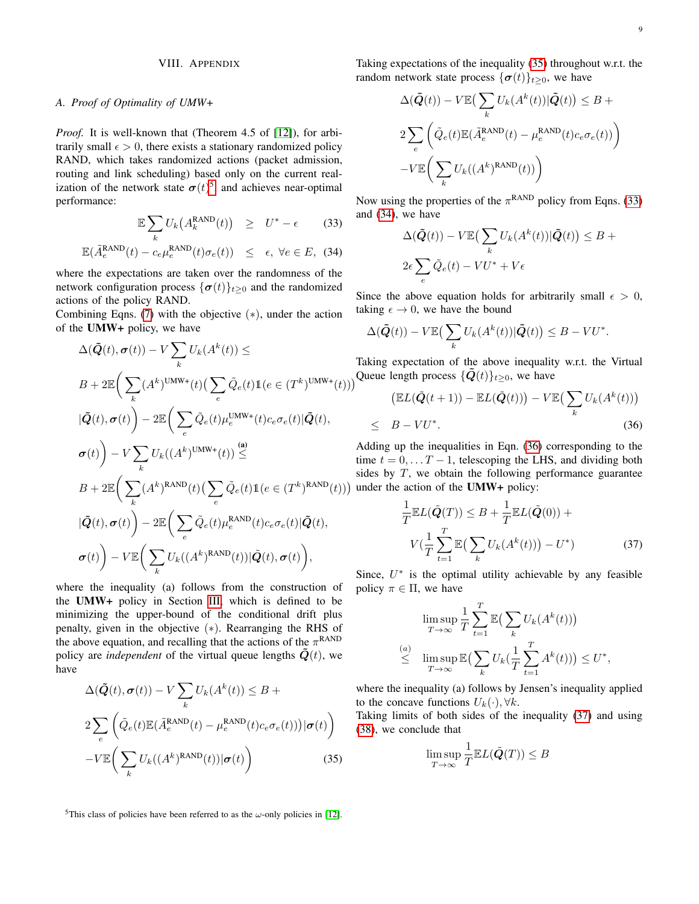## VIII. APPENDIX

## *A. Proof of Optimality of UMW+*

*Proof.* It is well-known that (Theorem 4.5 of [\[12\]](#page-7-12)), for arbitrarily small  $\epsilon > 0$ , there exists a stationary randomized policy RAND, which takes randomized actions (packet admission, routing and link scheduling) based only on the current realization of the network state  $\sigma(t)^5$  $\sigma(t)^5$ , and achieves near-optimal performance:

<span id="page-8-1"></span>
$$
\mathbb{E}\sum_{k}U_{k}\big(A_{k}^{\text{RAND}}(t)\big) \geq U^* - \epsilon \qquad (33)
$$

$$
\mathbb{E}(\tilde{A}_e^{\text{RAND}}(t) - c_e \mu_e^{\text{RAND}}(t)\sigma_e(t)) \le \epsilon, \ \forall e \in E, \ (34)
$$

where the expectations are taken over the randomness of the network configuration process  $\{\sigma(t)\}_{t\geq0}$  and the randomized actions of the policy RAND.

Combining Eqns. [\(7\)](#page-2-1) with the objective  $(*)$ , under the action of the UMW+ policy, we have

$$
\Delta(\tilde{Q}(t), \sigma(t)) - V \sum_{k} U_{k}(A^{k}(t)) \le
$$
\n
$$
B + 2\mathbb{E}\Bigg(\sum_{k} (A^{k})^{\text{UMW+}}(t)\big(\sum_{e} \tilde{Q}_{e}(t)\mathbb{1}(e \in (T^{k})^{\text{UMW+}}(t))\big)
$$
\n
$$
|\tilde{Q}(t), \sigma(t)\Bigg) - 2\mathbb{E}\Bigg(\sum_{e} \tilde{Q}_{e}(t)\mu_{e}^{\text{UMW+}}(t)c_{e}\sigma_{e}(t)|\tilde{Q}(t),
$$
\n
$$
\sigma(t)\Bigg) - V \sum_{k} U_{k}((A^{k})^{\text{UMW+}}(t)) \stackrel{\text{(a)}}{\le}
$$
\n
$$
B + 2\mathbb{E}\Bigg(\sum_{k} (A^{k})^{\text{RAND}}(t)\big(\sum_{e} \tilde{Q}_{e}(t)\mathbb{1}(e \in (T^{k})^{\text{RAND}}(t))\big)
$$
\n
$$
|\tilde{Q}(t), \sigma(t)\Bigg) - 2\mathbb{E}\Bigg(\sum_{e} \tilde{Q}_{e}(t)\mu_{e}^{\text{RAND}}(t)c_{e}\sigma_{e}(t)|\tilde{Q}(t),
$$
\n
$$
\sigma(t)\Bigg) - V\mathbb{E}\Bigg(\sum_{k} U_{k}((A^{k})^{\text{RAND}}(t))|\tilde{Q}(t), \sigma(t)\Bigg),
$$

where the inequality (a) follows from the construction of the UMW+ policy in Section [III,](#page-1-1) which is defined to be minimizing the upper-bound of the conditional drift plus penalty, given in the objective (∗). Rearranging the RHS of the above equation, and recalling that the actions of the  $\pi^{\text{RAND}}$ policy are *independent* of the virtual queue lengths  $\tilde{Q}(t)$ , we have

<span id="page-8-0"></span>
$$
\Delta(\tilde{Q}(t), \sigma(t)) - V \sum_{k} U_{k}(A^{k}(t)) \leq B + 2 \sum_{e} \left( \tilde{Q}_{e}(t) \mathbb{E}(\tilde{A}_{e}^{RAND}(t) - \mu_{e}^{RAND}(t)c_{e}\sigma_{e}(t)) | \sigma(t) \right) - V \mathbb{E} \left( \sum_{k} U_{k}((A^{k})^{RAND}(t)) | \sigma(t) \right)
$$
\n(35)

Taking expectations of the inequality [\(35\)](#page-8-0) throughout w.r.t. the random network state process  $\{\sigma(t)\}_{t>0}$ , we have

$$
\Delta(\tilde{Q}(t)) - V \mathbb{E}\left(\sum_{k} U_k(A^k(t)) | \tilde{Q}(t)\right) \leq B + 2 \sum_{e} \left(\tilde{Q}_e(t) \mathbb{E}(\tilde{A}_e^{\text{RAND}}(t) - \mu_e^{\text{RAND}}(t)c_e \sigma_e(t))\right) - V \mathbb{E}\left(\sum_{k} U_k((A^k)^{\text{RAND}}(t))\right)
$$

Now using the properties of the  $\pi^{\text{RAND}}$  policy from Eqns. [\(33\)](#page-8-1) and [\(34\)](#page-8-1), we have

$$
\Delta(\tilde{Q}(t)) - V \mathbb{E}\left(\sum_{k} U_k(A^k(t)) | \tilde{Q}(t)\right) \leq B +
$$
  

$$
2\epsilon \sum_{e} \tilde{Q}_e(t) - V U^* + V \epsilon
$$

Since the above equation holds for arbitrarily small  $\epsilon > 0$ , taking  $\epsilon \to 0$ , we have the bound

$$
\Delta(\tilde{Q}(t)) - V \mathbb{E}\left(\sum_{k} U_k(A^k(t)) | \tilde{Q}(t)\right) \leq B - V U^*.
$$

Taking expectation of the above inequality w.r.t. the Virtual Queue length process  $\{\vec{Q}(t)\}_{t\geq 0}$ , we have

<span id="page-8-2"></span>
$$
\left(\mathbb{E}L(\tilde{\boldsymbol{Q}}(t+1)) - \mathbb{E}L(\tilde{\boldsymbol{Q}}(t))\right) - V \mathbb{E}\left(\sum_{k} U_{k}(A^{k}(t))\right)
$$
  
 
$$
\leq B - VU^{*}.
$$
 (36)

Adding up the inequalities in Eqn. [\(36\)](#page-8-2) corresponding to the time  $t = 0, \ldots T - 1$ , telescoping the LHS, and dividing both sides by  $T$ , we obtain the following performance guarantee under the action of the UMW+ policy:

<span id="page-8-3"></span>
$$
\frac{1}{T} \mathbb{E}L(\tilde{Q}(T)) \leq B + \frac{1}{T} \mathbb{E}L(\tilde{Q}(0)) + V\left(\frac{1}{T} \sum_{t=1}^{T} \mathbb{E}\left(\sum_{k} U_k(A^k(t))\right) - U^*\right) \tag{37}
$$

Since,  $U^*$  is the optimal utility achievable by any feasible policy  $\pi \in \Pi$ , we have

<span id="page-8-4"></span>
$$
\limsup_{T \to \infty} \frac{1}{T} \sum_{t=1}^{T} \mathbb{E} \left( \sum_{k} U_k(A^k(t)) \right)
$$
\n
$$
\leq \limsup_{T \to \infty} \mathbb{E} \left( \sum_{k} U_k(\frac{1}{T} \sum_{t=1}^{T} A^k(t)) \right) \leq U^*,
$$

where the inequality (a) follows by Jensen's inequality applied to the concave functions  $U_k(\cdot), \forall k$ .

Taking limits of both sides of the inequality [\(37\)](#page-8-3) and using [\(38\)](#page-8-4), we conclude that

$$
\limsup_{T \to \infty} \frac{1}{T} \mathbb{E}L(\tilde{Q}(T)) \le B
$$

<sup>5</sup>This class of policies have been referred to as the  $\omega$ -only policies in [\[12\]](#page-7-12).